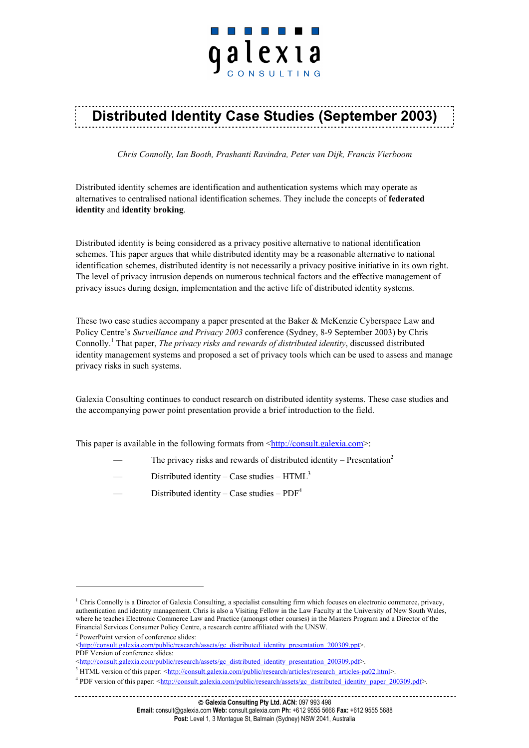# <u> 1999 - John Harry Barn, amerikan bisa yang berke</u> qalexia

## **Distributed Identity Case Studies (September 2003)**

*Chris Connolly, Ian Booth, Prashanti Ravindra, Peter van Dijk, Francis Vierboom*

Distributed identity schemes are identification and authentication systems which may operate as alternatives to centralised national identification schemes. They include the concepts of **federated identity** and **identity broking**.

Distributed identity is being considered as a privacy positive alternative to national identification schemes. This paper argues that while distributed identity may be a reasonable alternative to national identification schemes, distributed identity is not necessarily a privacy positive initiative in its own right. The level of privacy intrusion depends on numerous technical factors and the effective management of privacy issues during design, implementation and the active life of distributed identity systems.

These two case studies accompany a paper presented at the Baker & McKenzie Cyberspace Law and Policy Centre's *Surveillance and Privacy 2003* conference (Sydney, 8-9 September 2003) by Chris Connolly.<sup>1</sup> That paper, *The privacy risks and rewards of distributed identity*, discussed distributed identity management systems and proposed a set of privacy tools which can be used to assess and manage privacy risks in such systems.

Galexia Consulting continues to conduct research on distributed identity systems. These case studies and the accompanying power point presentation provide a brief introduction to the field.

This paper is available in the following formats from  $\frac{\text{th}}{\text{t}}$  //consult.galexia.com>:

- The privacy risks and rewards of distributed identity Presentation<sup>2</sup>
- Distributed identity Case studies  $HTML<sup>3</sup>$
- Distributed identity Case studies  $PDF<sup>4</sup>$

<sup>&</sup>lt;sup>1</sup> Chris Connolly is a Director of Galexia Consulting, a specialist consulting firm which focuses on electronic commerce, privacy, authentication and identity management. Chris is also a Visiting Fellow in the Law Faculty at the University of New South Wales, where he teaches Electronic Commerce Law and Practice (amongst other courses) in the Masters Program and a Director of the Financial Services Consumer Policy Centre, a research centre affiliated with the UNSW. 2

<sup>&</sup>lt;sup>2</sup> PowerPoint version of conference slides:

<sup>&</sup>lt;[http://consult.galexia.com/public/research/assets/gc\\_distributed\\_identity\\_presentation\\_200309.ppt>](http://consult.galexia.com/public/research/assets/gc_distributed_identity_presentation_200309.ppt). PDF Version of conference slides:

<sup>&</sup>lt;[http://consult.galexia.com/public/research/assets/gc\\_distributed\\_identity\\_presentation\\_200309.pdf>](http://consult.galexia.com/public/research/assets/gc_distributed_identity_presentation_200309.pdf)

<sup>&</sup>lt;sup>3</sup> HTML version of this paper: <[http://consult.galexia.com/public/research/articles/research\\_articles-pa02.html>](http://consult.galexia.com/public/research/articles/research_articles-pa02.html).

PDF version of this paper: [<http://consult.galexia.com/public/research/assets/gc\\_distributed\\_identity\\_paper\\_200309.pdf>](http://consult.galexia.com/public/research/assets/gc_distributed_identity_paper_200309.pdf).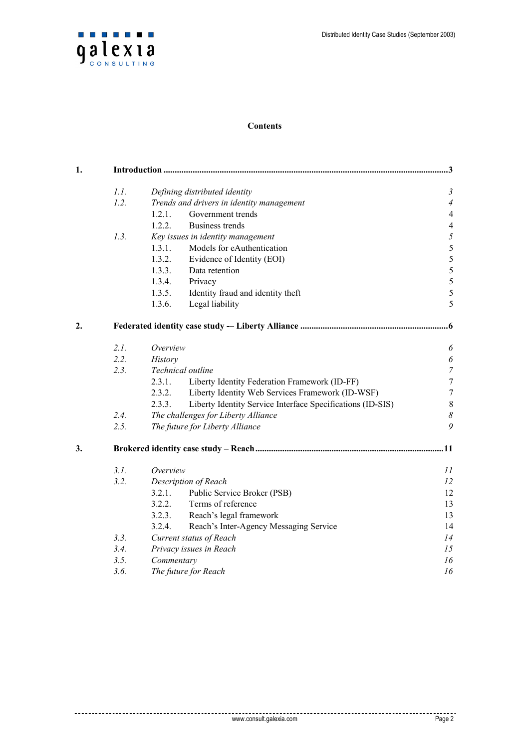

#### **Contents**

| 1. | 3    |                                                                      |                       |  |
|----|------|----------------------------------------------------------------------|-----------------------|--|
|    | 1.1. | Defining distributed identity                                        | $\mathfrak{Z}$        |  |
|    | 1.2. | Trends and drivers in identity management                            | $\overline{4}$        |  |
|    |      | 1.2.1.<br>Government trends                                          | $\overline{4}$        |  |
|    |      | 1.2.2.<br>Business trends                                            | $\overline{4}$        |  |
|    | 1.3. | Key issues in identity management                                    | $\mathfrak{H}$        |  |
|    |      | 1.3.1.<br>Models for eAuthentication                                 | 5                     |  |
|    |      | 1.3.2.<br>Evidence of Identity (EOI)                                 | 5                     |  |
|    |      | 1.3.3.<br>Data retention                                             | 5                     |  |
|    |      | 1.3.4.<br>Privacy                                                    | 5                     |  |
|    |      | 1.3.5.<br>Identity fraud and identity theft                          | 5                     |  |
|    |      | 1.3.6.<br>Legal liability                                            | 5                     |  |
| 2. |      |                                                                      | 6                     |  |
|    | 2.1. | Overview                                                             | $\boldsymbol{\delta}$ |  |
|    | 2.2. | <b>History</b>                                                       | $\boldsymbol{\delta}$ |  |
|    | 2.3. | Technical outline                                                    | $\boldsymbol{7}$      |  |
|    |      | 2.3.1.<br>Liberty Identity Federation Framework (ID-FF)              | $\tau$                |  |
|    |      | 2.3.2.<br>Liberty Identity Web Services Framework (ID-WSF)           | $\overline{7}$        |  |
|    |      | 2.3.3.<br>Liberty Identity Service Interface Specifications (ID-SIS) | $\,8\,$               |  |
|    | 2.4. | The challenges for Liberty Alliance                                  | $\boldsymbol{\delta}$ |  |
|    | 2.5. | The future for Liberty Alliance                                      | 9                     |  |
| 3. |      |                                                                      |                       |  |
|    | 3.1. | Overview                                                             | 11                    |  |
|    | 3.2. | Description of Reach                                                 | 12                    |  |
|    |      | Public Service Broker (PSB)<br>3.2.1.                                | 12                    |  |
|    |      | 3.2.2.<br>Terms of reference                                         | 13                    |  |
|    |      | 3.2.3.<br>Reach's legal framework                                    | 13                    |  |
|    |      | Reach's Inter-Agency Messaging Service<br>3.2.4.                     | 14                    |  |
|    | 3.3. | Current status of Reach                                              | 14                    |  |
|    | 3.4. | Privacy issues in Reach                                              | 15                    |  |
|    | 3.5. | Commentary                                                           | 16                    |  |
|    | 3.6. | The future for Reach                                                 | 16                    |  |

--------

.................................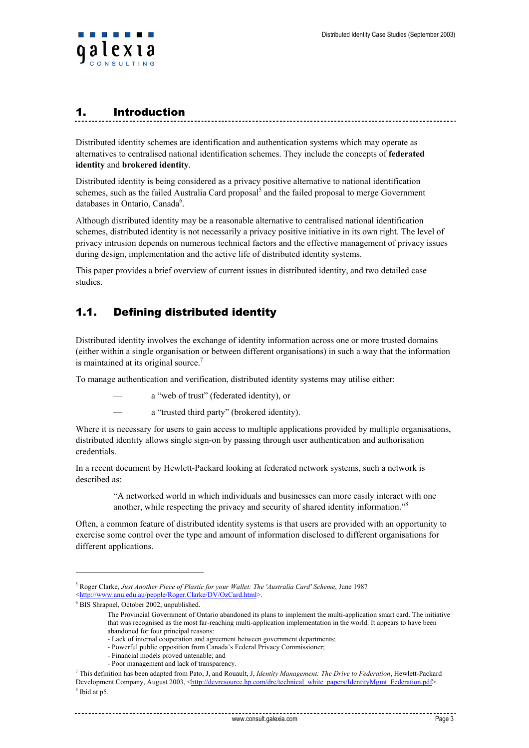<span id="page-2-0"></span>

## 1. Introduction

Distributed identity schemes are identification and authentication systems which may operate as alternatives to centralised national identification schemes. They include the concepts of **federated identity** and **brokered identity**.

Distributed identity is being considered as a privacy positive alternative to national identification schemes, such as the failed Australia Card proposal<sup>5</sup> and the failed proposal to merge Government databases in Ontario, Canada<sup>6</sup>.

Although distributed identity may be a reasonable alternative to centralised national identification schemes, distributed identity is not necessarily a privacy positive initiative in its own right. The level of privacy intrusion depends on numerous technical factors and the effective management of privacy issues during design, implementation and the active life of distributed identity systems.

This paper provides a brief overview of current issues in distributed identity, and two detailed case studies.

## 1.1. Defining distributed identity

Distributed identity involves the exchange of identity information across one or more trusted domains (either within a single organisation or between different organisations) in such a way that the information is maintained at its original source. $7$ 

To manage authentication and verification, distributed identity systems may utilise either:

— a "web of trust" (federated identity), or

a "trusted third party" (brokered identity).

Where it is necessary for users to gain access to multiple applications provided by multiple organisations, distributed identity allows single sign-on by passing through user authentication and authorisation credentials.

In a recent document by Hewlett-Packard looking at federated network systems, such a network is described as:

> "A networked world in which individuals and businesses can more easily interact with one another, while respecting the privacy and security of shared identity information."<sup>8</sup>

Often, a common feature of distributed identity systems is that users are provided with an opportunity to exercise some control over the type and amount of information disclosed to different organisations for different applications.

<sup>5</sup> Roger Clarke, *Just Another Piece of Plastic for your Wallet: The 'Australia Card' Scheme*, June 1987 <[http://www.anu.edu.au/people/Roger.Clarke/DV/OzCard.html>](http://www.anu.edu.au/people/Roger.Clarke/DV/OzCard.html).

 $6$  BIS Shrapnel, October 2002, unpublished.

The Provincial Government of Ontario abandoned its plans to implement the multi-application smart card. The initiative that was recognised as the most far-reaching multi-application implementation in the world. It appears to have been abandoned for four principal reasons:

<sup>-</sup> Lack of internal cooperation and agreement between government departments;

<sup>-</sup> Powerful public opposition from Canada's Federal Privacy Commissioner;

<sup>-</sup> Financial models proved untenable; and

<sup>-</sup> Poor management and lack of transparency.

<sup>7</sup> This definition has been adapted from Pato, J, and Rouault, J, *Identity Management: The Drive to Federation*, Hewlett-Packard Development Company, August 2003, <[http://devresource.hp.com/drc/technical\\_white\\_papers/IdentityMgmt\\_Federation.pdf](http://devresource.hp.com/drc/technical_white_papers/IdentityMgmt_Federation.pdf)>. <sup>8</sup> Ibid at p5.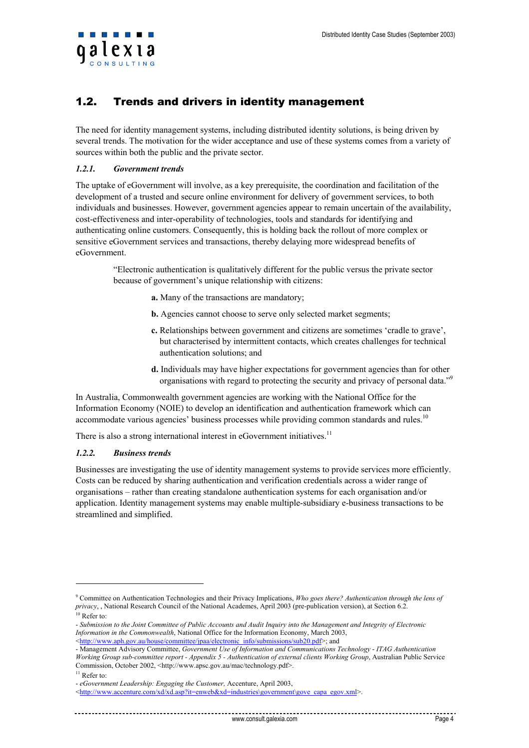<span id="page-3-0"></span>

### 1.2. Trends and drivers in identity management

The need for identity management systems, including distributed identity solutions, is being driven by several trends. The motivation for the wider acceptance and use of these systems comes from a variety of sources within both the public and the private sector.

#### *1.2.1. Government trends*

The uptake of eGovernment will involve, as a key prerequisite, the coordination and facilitation of the development of a trusted and secure online environment for delivery of government services, to both individuals and businesses. However, government agencies appear to remain uncertain of the availability, cost-effectiveness and inter-operability of technologies, tools and standards for identifying and authenticating online customers. Consequently, this is holding back the rollout of more complex or sensitive eGovernment services and transactions, thereby delaying more widespread benefits of eGovernment.

"Electronic authentication is qualitatively different for the public versus the private sector because of government's unique relationship with citizens:

- **a.** Many of the transactions are mandatory;
- **b.** Agencies cannot choose to serve only selected market segments;
- **c.** Relationships between government and citizens are sometimes 'cradle to grave', but characterised by intermittent contacts, which creates challenges for technical authentication solutions; and
- **d.** Individuals may have higher expectations for government agencies than for other organisations with regard to protecting the security and privacy of personal data."<sup>9</sup>

In Australia, Commonwealth government agencies are working with the National Office for the Information Economy (NOIE) to develop an identification and authentication framework which can accommodate various agencies' business processes while providing common standards and rules.<sup>10</sup>

There is also a strong international interest in eGovernment initiatives.<sup>11</sup>

#### *1.2.2. Business trends*

Businesses are investigating the use of identity management systems to provide services more efficiently. Costs can be reduced by sharing authentication and verification credentials across a wider range of organisations – rather than creating standalone authentication systems for each organisation and/or application. Identity management systems may enable multiple-subsidiary e-business transactions to be streamlined and simplified.

<sup>9</sup> Committee on Authentication Technologies and their Privacy Implications, *Who goes there? Authentication through the lens of privacy*, , National Research Council of the National Academes, April 2003 (pre-publication version), at Section 6.2. <sup>10</sup> Refer to:

<sup>-</sup> *Submission to the Joint Committee of Public Accounts and Audit Inquiry into the Management and Integrity of Electronic* 

*Information in the Commonwealth*, National Office for the Information Economy, March 2003,  $\text{thtn:}/\text{www.aph.gov.au/house/committee/ipaa/electronic}$  info/submissions/sub20.pdf>; and

<sup>-</sup> Management Advisory Committee, *Government Use of Information and Communications Technology* - *ITAG Authentication* 

*Working Group sub-committee report - Appendix 5 - Authentication of external clients Working Group*, Australian Public Service Commission, October 2002, <<http://www.apsc.gov.au/mac/technology.pdf>>.<sup>11</sup> Refer to:

<sup>-</sup> *eGovernment Leadership: Engaging the Customer,* Accenture, April 2003,

<sup>&</sup>lt;[http://www.accenture.com/xd/xd.asp?it=enweb&xd=industries\government\gove\\_capa\\_egov.xml>](http://www.accenture.com/xd/xd.asp?it=enweb&xd=industries\government\gove_capa_egov.xml).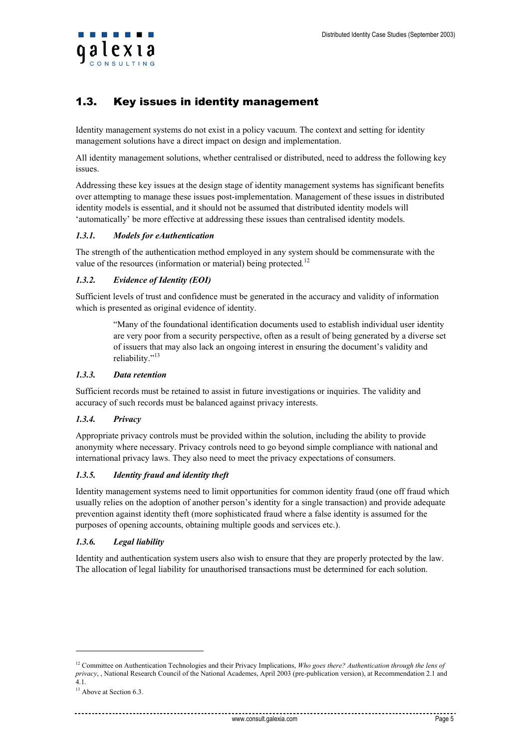<span id="page-4-0"></span>

## 1.3. Key issues in identity management

Identity management systems do not exist in a policy vacuum. The context and setting for identity management solutions have a direct impact on design and implementation.

All identity management solutions, whether centralised or distributed, need to address the following key issues.

Addressing these key issues at the design stage of identity management systems has significant benefits over attempting to manage these issues post-implementation. Management of these issues in distributed identity models is essential, and it should not be assumed that distributed identity models will 'automatically' be more effective at addressing these issues than centralised identity models.

#### *1.3.1. Models for eAuthentication*

The strength of the authentication method employed in any system should be commensurate with the value of the resources (information or material) being protected*.* 12

#### *1.3.2. Evidence of Identity (EOI)*

Sufficient levels of trust and confidence must be generated in the accuracy and validity of information which is presented as original evidence of identity.

> "Many of the foundational identification documents used to establish individual user identity are very poor from a security perspective, often as a result of being generated by a diverse set of issuers that may also lack an ongoing interest in ensuring the document's validity and reliability."<sup>13</sup>

#### *1.3.3. Data retention*

Sufficient records must be retained to assist in future investigations or inquiries. The validity and accuracy of such records must be balanced against privacy interests.

#### *1.3.4. Privacy*

Appropriate privacy controls must be provided within the solution, including the ability to provide anonymity where necessary. Privacy controls need to go beyond simple compliance with national and international privacy laws. They also need to meet the privacy expectations of consumers.

#### *1.3.5. Identity fraud and identity theft*

Identity management systems need to limit opportunities for common identity fraud (one off fraud which usually relies on the adoption of another person's identity for a single transaction) and provide adequate prevention against identity theft (more sophisticated fraud where a false identity is assumed for the purposes of opening accounts, obtaining multiple goods and services etc.).

#### *1.3.6. Legal liability*

Identity and authentication system users also wish to ensure that they are properly protected by the law. The allocation of legal liability for unauthorised transactions must be determined for each solution.

<sup>&</sup>lt;sup>12</sup> Committee on Authentication Technologies and their Privacy Implications, *Who goes there? Authentication through the lens of privacy*, , National Research Council of the National Academes, April 2003 (pre-publication version), at Recommendation 2.1 and 4.1.

<sup>&</sup>lt;sup>13</sup> Above at Section 6.3.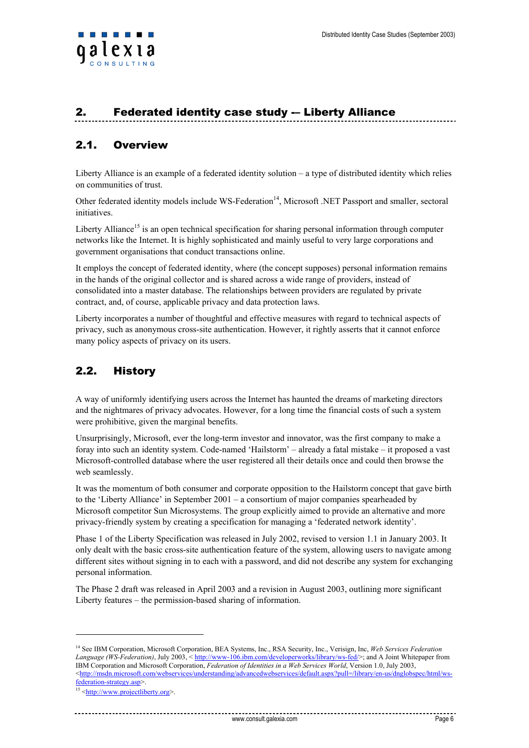## <span id="page-5-0"></span>2. Federated identity case study -– Liberty Alliance

## 2.1. Overview

Liberty Alliance is an example of a federated identity solution – a type of distributed identity which relies on communities of trust.

Other federated identity models include WS-Federation<sup>14</sup>, Microsoft .NET Passport and smaller, sectoral *initiatives* 

Liberty Alliance<sup>15</sup> is an open technical specification for sharing personal information through computer networks like the Internet. It is highly sophisticated and mainly useful to very large corporations and government organisations that conduct transactions online.

It employs the concept of federated identity, where (the concept supposes) personal information remains in the hands of the original collector and is shared across a wide range of providers, instead of consolidated into a master database. The relationships between providers are regulated by private contract, and, of course, applicable privacy and data protection laws.

Liberty incorporates a number of thoughtful and effective measures with regard to technical aspects of privacy, such as anonymous cross-site authentication. However, it rightly asserts that it cannot enforce many policy aspects of privacy on its users.

## 2.2. History

A way of uniformly identifying users across the Internet has haunted the dreams of marketing directors and the nightmares of privacy advocates. However, for a long time the financial costs of such a system were prohibitive, given the marginal benefits.

Unsurprisingly, Microsoft, ever the long-term investor and innovator, was the first company to make a foray into such an identity system. Code-named 'Hailstorm' – already a fatal mistake – it proposed a vast Microsoft-controlled database where the user registered all their details once and could then browse the web seamlessly.

It was the momentum of both consumer and corporate opposition to the Hailstorm concept that gave birth to the 'Liberty Alliance' in September 2001 – a consortium of major companies spearheaded by Microsoft competitor Sun Microsystems. The group explicitly aimed to provide an alternative and more privacy-friendly system by creating a specification for managing a 'federated network identity'.

Phase 1 of the Liberty Specification was released in July 2002, revised to version 1.1 in January 2003. It only dealt with the basic cross-site authentication feature of the system, allowing users to navigate among different sites without signing in to each with a password, and did not describe any system for exchanging personal information.

The Phase 2 draft was released in April 2003 and a revision in August 2003, outlining more significant Liberty features – the permission-based sharing of information.

<sup>14</sup> See IBM Corporation, Microsoft Corporation, BEA Systems, Inc., RSA Security, Inc., Verisign, Inc, *Web Services Federation Language (WS-Federation)*, July 2003, < [http://www-106.ibm.com/developerworks/library/ws-fed/>](http://www-106.ibm.com/developerworks/library/ws-fed/); and A Joint Whitepaper from IBM Corporation and Microsoft Corporation, *Federation of Identities in a Web Services World*, Version 1.0, July 2003, <[http://msdn.microsoft.com/webservices/understanding/advancedwebservices/default.aspx?pull=/library/en-us/dnglobspec/html/ws](http://msdn.microsoft.com/webservices/understanding/advancedwebservices/default.aspx?pull=/library/en-us/dnglobspec/html/ws-federation-strategy.asp)[federation-strategy.asp](http://msdn.microsoft.com/webservices/understanding/advancedwebservices/default.aspx?pull=/library/en-us/dnglobspec/html/ws-federation-strategy.asp)>.<br><sup>15</sup> <[http://www.projectliberty.org>](http://www.projectliberty.org/).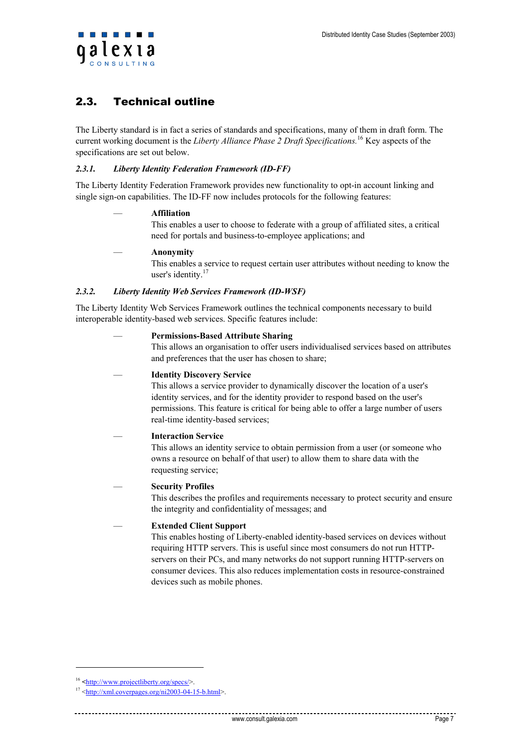## <span id="page-6-0"></span>2.3. Technical outline

The Liberty standard is in fact a series of standards and specifications, many of them in draft form. The current working document is the *Liberty Alliance Phase 2 Draft Specifications.* 16 Key aspects of the specifications are set out below.

#### *2.3.1. Liberty Identity Federation Framework (ID-FF)*

The Liberty Identity Federation Framework provides new functionality to opt-in account linking and single sign-on capabilities. The ID-FF now includes protocols for the following features:

#### — **Affiliation**

This enables a user to choose to federate with a group of affiliated sites, a critical need for portals and business-to-employee applications; and

#### — **Anonymity**

This enables a service to request certain user attributes without needing to know the user's identity. $17$ 

#### *2.3.2. Liberty Identity Web Services Framework (ID-WSF)*

The Liberty Identity Web Services Framework outlines the technical components necessary to build interoperable identity-based web services. Specific features include:

#### — **Permissions-Based Attribute Sharing**

This allows an organisation to offer users individualised services based on attributes and preferences that the user has chosen to share;

#### — **Identity Discovery Service**

This allows a service provider to dynamically discover the location of a user's identity services, and for the identity provider to respond based on the user's permissions. This feature is critical for being able to offer a large number of users real-time identity-based services;

#### — **Interaction Service**

This allows an identity service to obtain permission from a user (or someone who owns a resource on behalf of that user) to allow them to share data with the requesting service;

#### — **Security Profiles**

This describes the profiles and requirements necessary to protect security and ensure the integrity and confidentiality of messages; and

#### — **Extended Client Support**

This enables hosting of Liberty-enabled identity-based services on devices without requiring HTTP servers. This is useful since most consumers do not run HTTPservers on their PCs, and many networks do not support running HTTP-servers on consumer devices. This also reduces implementation costs in resource-constrained devices such as mobile phones.

<sup>&</sup>lt;sup>16</sup> <<u>http://www.projectliberty.org/specs/</u>>.<br><sup>17</sup> <[http://xml.coverpages.org/ni2003-04-15-b.html>](http://xml.coverpages.org/ni2003-04-15-b.html).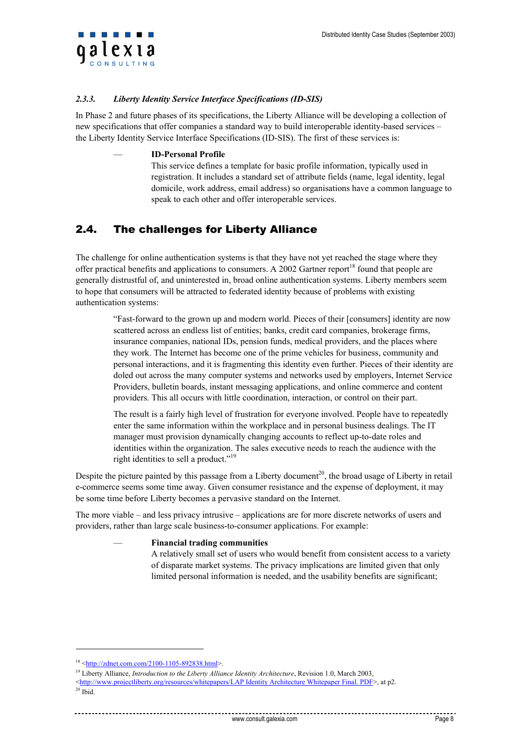<span id="page-7-0"></span>

#### *2.3.3. Liberty Identity Service Interface Specifications (ID-SIS)*

In Phase 2 and future phases of its specifications, the Liberty Alliance will be developing a collection of new specifications that offer companies a standard way to build interoperable identity-based services – the Liberty Identity Service Interface Specifications (ID-SIS). The first of these services is:

#### — **ID-Personal Profile**

This service defines a template for basic profile information, typically used in registration. It includes a standard set of attribute fields (name, legal identity, legal domicile, work address, email address) so organisations have a common language to speak to each other and offer interoperable services.

## 2.4. The challenges for Liberty Alliance

The challenge for online authentication systems is that they have not yet reached the stage where they offer practical benefits and applications to consumers. A 2002 Gartner report<sup>18</sup> found that people are generally distrustful of, and uninterested in, broad online authentication systems. Liberty members seem to hope that consumers will be attracted to federated identity because of problems with existing authentication systems:

> "Fast-forward to the grown up and modern world. Pieces of their [consumers] identity are now scattered across an endless list of entities; banks, credit card companies, brokerage firms, insurance companies, national IDs, pension funds, medical providers, and the places where they work. The Internet has become one of the prime vehicles for business, community and personal interactions, and it is fragmenting this identity even further. Pieces of their identity are doled out across the many computer systems and networks used by employers, Internet Service Providers, bulletin boards, instant messaging applications, and online commerce and content providers. This all occurs with little coordination, interaction, or control on their part.

The result is a fairly high level of frustration for everyone involved. People have to repeatedly enter the same information within the workplace and in personal business dealings. The IT manager must provision dynamically changing accounts to reflect up-to-date roles and identities within the organization. The sales executive needs to reach the audience with the right identities to sell a product."<sup>19</sup>

Despite the picture painted by this passage from a Liberty document<sup>20</sup>, the broad usage of Liberty in retail e-commerce seems some time away. Given consumer resistance and the expense of deployment, it may be some time before Liberty becomes a pervasive standard on the Internet.

The more viable – and less privacy intrusive – applications are for more discrete networks of users and providers, rather than large scale business-to-consumer applications. For example:

#### — **Financial trading communities**

A relatively small set of users who would benefit from consistent access to a variety of disparate market systems. The privacy implications are limited given that only limited personal information is needed, and the usability benefits are significant;

<sup>&</sup>lt;sup>18</sup> <[http://zdnet.com.com/2100-1105-892838.html>](http://zdnet.com.com/2100-1105-892838.html).<br><sup>19</sup> Liberty Alliance, *Introduction to the Liberty Alliance Identity Architecture*, Revision 1.0, March 2003,

<sup>&</sup>lt;[http://www.projectliberty.org/resources/whitepapers/LAP Identity Architecture Whitepaper Final. PDF>](http://www.projectliberty.org/resources/whitepapers/LAP Identity Architecture Whitepaper Final.pdf), at p2.

 $20$  Ibid.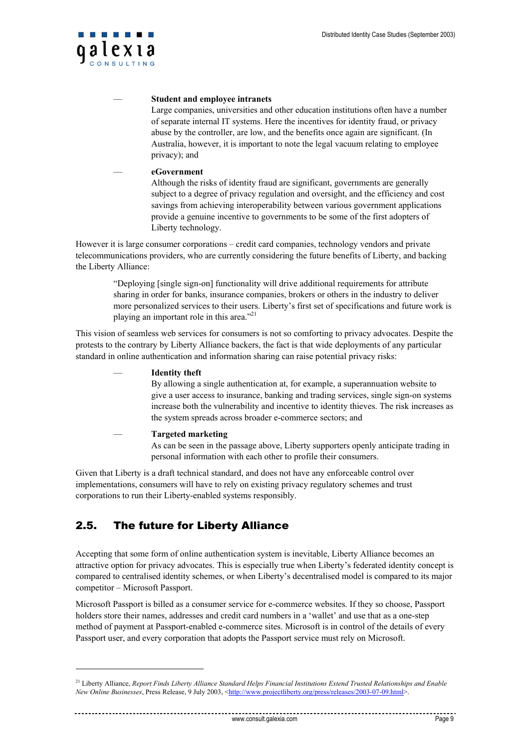<span id="page-8-0"></span>

#### — **Student and employee intranets**

Large companies, universities and other education institutions often have a number of separate internal IT systems. Here the incentives for identity fraud, or privacy abuse by the controller, are low, and the benefits once again are significant. (In Australia, however, it is important to note the legal vacuum relating to employee privacy); and

#### — **eGovernment**

Although the risks of identity fraud are significant, governments are generally subject to a degree of privacy regulation and oversight, and the efficiency and cost savings from achieving interoperability between various government applications provide a genuine incentive to governments to be some of the first adopters of Liberty technology.

However it is large consumer corporations – credit card companies, technology vendors and private telecommunications providers, who are currently considering the future benefits of Liberty, and backing the Liberty Alliance:

"Deploying [single sign-on] functionality will drive additional requirements for attribute sharing in order for banks, insurance companies, brokers or others in the industry to deliver more personalized services to their users. Liberty's first set of specifications and future work is playing an important role in this area."21

This vision of seamless web services for consumers is not so comforting to privacy advocates. Despite the protests to the contrary by Liberty Alliance backers, the fact is that wide deployments of any particular standard in online authentication and information sharing can raise potential privacy risks:

| <b>Identity theft</b>                                                                    |
|------------------------------------------------------------------------------------------|
| By allowing a single authentication at, for example, a superannuation website to         |
| give a user access to insurance, banking and trading services, single sign-on systems    |
| increase both the vulnerability and incentive to identity thieves. The risk increases as |
| the system spreads across broader e-commerce sectors; and                                |
| <b>Targeted marketing</b>                                                                |
| As can be seen in the passage above, Liberty supporters openly anticipate trading in     |
| personal information with each other to profile their consumers.                         |

Given that Liberty is a draft technical standard, and does not have any enforceable control over implementations, consumers will have to rely on existing privacy regulatory schemes and trust corporations to run their Liberty-enabled systems responsibly.

## 2.5. The future for Liberty Alliance

l

Accepting that some form of online authentication system is inevitable, Liberty Alliance becomes an attractive option for privacy advocates. This is especially true when Liberty's federated identity concept is compared to centralised identity schemes, or when Liberty's decentralised model is compared to its major competitor – Microsoft Passport.

Microsoft Passport is billed as a consumer service for e-commerce websites. If they so choose, Passport holders store their names, addresses and credit card numbers in a 'wallet' and use that as a one-step method of payment at Passport-enabled e-commerce sites. Microsoft is in control of the details of every Passport user, and every corporation that adopts the Passport service must rely on Microsoft.

<sup>21</sup> Liberty Alliance, *Report Finds Liberty Alliance Standard Helps Financial Institutions Extend Trusted Relationships and Enable New Online Businesses*, Press Release, 9 July 2003, [<http://www.projectliberty.org/press/releases/2003-07-09.html>](http://www.projectliberty.org/press/releases/2003-07-09.html).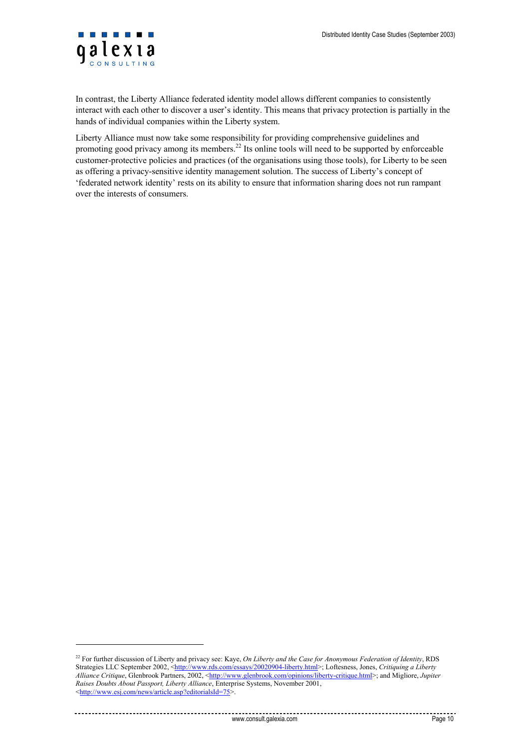

l

In contrast, the Liberty Alliance federated identity model allows different companies to consistently interact with each other to discover a user's identity. This means that privacy protection is partially in the hands of individual companies within the Liberty system.

Liberty Alliance must now take some responsibility for providing comprehensive guidelines and promoting good privacy among its members.22 Its online tools will need to be supported by enforceable customer-protective policies and practices (of the organisations using those tools), for Liberty to be seen as offering a privacy-sensitive identity management solution. The success of Liberty's concept of 'federated network identity' rests on its ability to ensure that information sharing does not run rampant over the interests of consumers.

<sup>22</sup> For further discussion of Liberty and privacy see: Kaye, *On Liberty and the Case for Anonymous Federation of Identity*, RDS Strategies LLC September 2002, [<http://www.rds.com/essays/20020904-liberty.html>](http://www.rds.com/essays/20020904-liberty.html); Loftesness, Jones, *Critiquing a Liberty Alliance Critique*, Glenbrook Partners, 2002, [<http://www.glenbrook.com/opinions/liberty-critique.html>](http://www.glenbrook.com/opinions/liberty-critique.html); and Migliore, *Jupiter Raises Doubts About Passport, Liberty Alliance*, Enterprise Systems, November 2001, <[http://www.esj.com/news/article.asp?editorialsId=75>](http://www.esj.com/news/article.asp?editorialsId=75).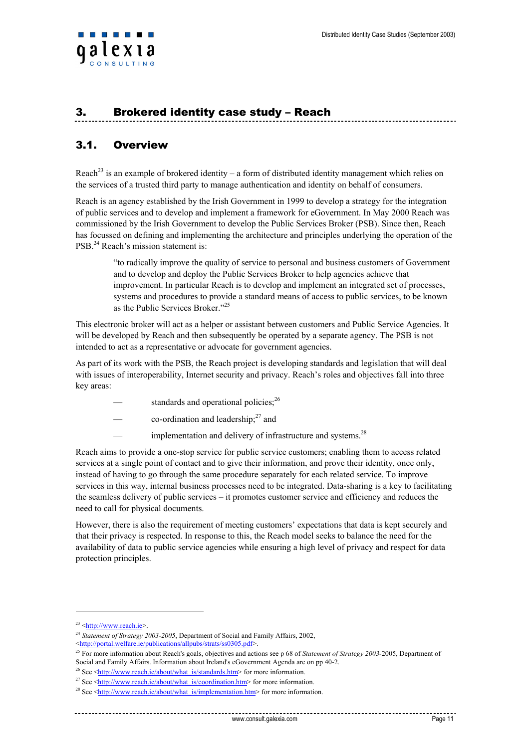## <span id="page-10-0"></span>3. Brokered identity case study – Reach

## 3.1. Overview

Reach<sup>23</sup> is an example of brokered identity – a form of distributed identity management which relies on the services of a trusted third party to manage authentication and identity on behalf of consumers.

Reach is an agency established by the Irish Government in 1999 to develop a strategy for the integration of public services and to develop and implement a framework for eGovernment. In May 2000 Reach was commissioned by the Irish Government to develop the Public Services Broker (PSB). Since then, Reach has focussed on defining and implementing the architecture and principles underlying the operation of the PSB.<sup>24</sup> Reach's mission statement is:

"to radically improve the quality of service to personal and business customers of Government and to develop and deploy the Public Services Broker to help agencies achieve that improvement. In particular Reach is to develop and implement an integrated set of processes, systems and procedures to provide a standard means of access to public services, to be known as the Public Services Broker<sup>"25</sup>

This electronic broker will act as a helper or assistant between customers and Public Service Agencies. It will be developed by Reach and then subsequently be operated by a separate agency. The PSB is not intended to act as a representative or advocate for government agencies.

As part of its work with the PSB, the Reach project is developing standards and legislation that will deal with issues of interoperability, Internet security and privacy. Reach's roles and objectives fall into three key areas:

- standards and operational policies; $^{26}$
- $\sim$  co-ordination and leadership;<sup>27</sup> and
- implementation and delivery of infrastructure and systems.<sup>28</sup>

Reach aims to provide a one-stop service for public service customers; enabling them to access related services at a single point of contact and to give their information, and prove their identity, once only, instead of having to go through the same procedure separately for each related service. To improve services in this way, internal business processes need to be integrated. Data-sharing is a key to facilitating the seamless delivery of public services – it promotes customer service and efficiency and reduces the need to call for physical documents.

However, there is also the requirement of meeting customers' expectations that data is kept securely and that their privacy is respected. In response to this, the Reach model seeks to balance the need for the availability of data to public service agencies while ensuring a high level of privacy and respect for data protection principles.

<sup>&</sup>lt;sup>23</sup> <[http://www.reach.ie](http://www.reach.ie/)>.<br><sup>24</sup> Statement of Strategy 2003-2005, Department of Social and Family Affairs, 2002, <br><http://portal.welfare.ie/publications/allpubs/strats/ss0305.pdf>.

<sup>&</sup>lt;sup>25</sup> For more information about Reach's goals, objectives and actions see p 68 of *Statement of Strategy 2003-*2005, Department of Social and Family Affairs. Information about Ireland's eGovernment Agenda are on pp 40-2.

<sup>&</sup>lt;sup>26</sup> See  $\leq$ http://www.reach.ie/about/what\_is/standards.htm> for more information.

<sup>&</sup>lt;sup>27</sup> See [<http://www.reach.ie/about/what\\_is/coordination.htm>](http://www.reach.ie/about/what_is/standards.htm) for more information.<br><sup>28</sup> See [<http://www.reach.ie/about/what\\_is/implementation.htm>](http://www.reach.ie/about/what_is/standards.htm) for more information.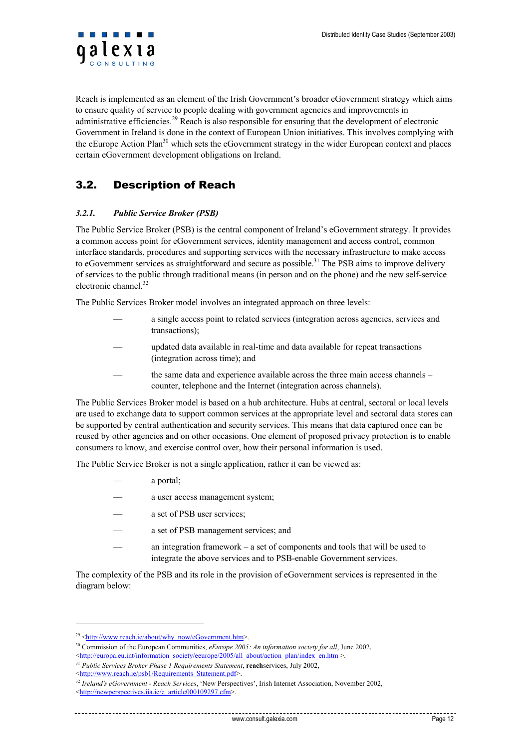<span id="page-11-0"></span>

Reach is implemented as an element of the Irish Government's broader eGovernment strategy which aims to ensure quality of service to people dealing with government agencies and improvements in administrative efficiencies.<sup>29</sup> Reach is also responsible for ensuring that the development of electronic Government in Ireland is done in the context of European Union initiatives. This involves complying with the eEurope Action Plan<sup>30</sup> which sets the eGovernment strategy in the wider European context and places certain eGovernment development obligations on Ireland.

## 3.2. Description of Reach

#### *3.2.1. Public Service Broker (PSB)*

The Public Service Broker (PSB) is the central component of Ireland's eGovernment strategy. It provides a common access point for eGovernment services, identity management and access control, common interface standards, procedures and supporting services with the necessary infrastructure to make access to eGovernment services as straightforward and secure as possible.<sup>31</sup> The PSB aims to improve delivery of services to the public through traditional means (in person and on the phone) and the new self-service electronic channel.<sup>32</sup>

The Public Services Broker model involves an integrated approach on three levels:

- a single access point to related services (integration across agencies, services and transactions);
- updated data available in real-time and data available for repeat transactions (integration across time); and
- the same data and experience available across the three main access channels counter, telephone and the Internet (integration across channels).

The Public Services Broker model is based on a hub architecture. Hubs at central, sectoral or local levels are used to exchange data to support common services at the appropriate level and sectoral data stores can be supported by central authentication and security services. This means that data captured once can be reused by other agencies and on other occasions. One element of proposed privacy protection is to enable consumers to know, and exercise control over, how their personal information is used.

The Public Service Broker is not a single application, rather it can be viewed as:

- a portal;
- a user access management system;
- a set of PSB user services;
- a set of PSB management services; and
- an integration framework a set of components and tools that will be used to integrate the above services and to PSB-enable Government services.

The complexity of the PSB and its role in the provision of eGovernment services is represented in the diagram below:

<sup>&</sup>lt;sup>29</sup> <[http://www.reach.ie/about/why\\_now/eGovernment.htm](http://www.reach.ie/about/why_now/egovernment.htm)>.

<sup>&</sup>lt;sup>30</sup> Commission of the European Communities, *eEurope 2005: An information society for all*, June 2002,  $\lt$ http://europa.eu.int/information society/eeurope/2005/all about/action plan/index en.htm >.

<sup>&</sup>lt;sup>31</sup> Public Services Broker Phase 1 Requirements Statement, **reach**services, July 2002,

<sup>&</sup>lt;[http://www.reach.ie/psb1/Requirements\\_Statement.pdf>](http://www.reach.ie/psb1/Requirements_Statement.pdf). 32 *Ireland's eGovernment - Reach Services*, 'New Perspectives', Irish Internet Association, November 2002, <[http://newperspectives.iia.ie/e\\_article000109297.cfm>](http://newperspectives.iia.ie/e_article000109297.cfm).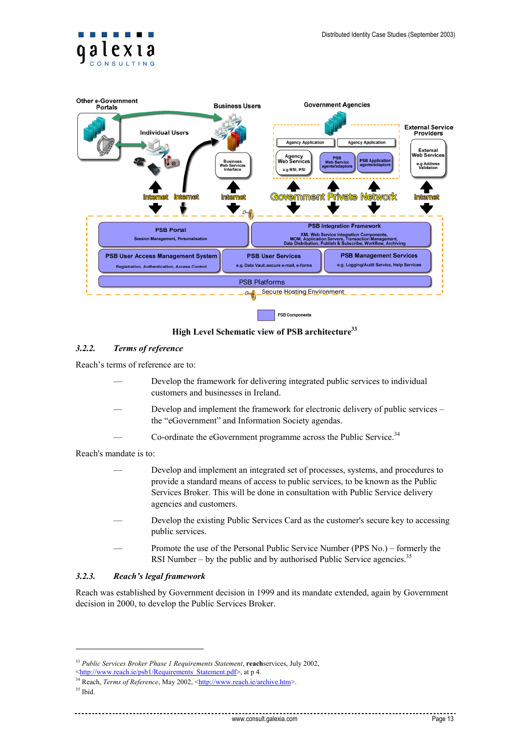<span id="page-12-0"></span>



**High Level Schematic view of PSB architecture33**

#### *3.2.2. Terms of reference*

Reach's terms of reference are to:

- Develop the framework for delivering integrated public services to individual customers and businesses in Ireland.
- Develop and implement the framework for electronic delivery of public services the "eGovernment" and Information Society agendas.
- Co-ordinate the eGovernment programme across the Public Service.<sup>34</sup>

Reach's mandate is to:

- Develop and implement an integrated set of processes, systems, and procedures to provide a standard means of access to public services, to be known as the Public Services Broker. This will be done in consultation with Public Service delivery agencies and customers.
- Develop the existing Public Services Card as the customer's secure key to accessing public services.
- Promote the use of the Personal Public Service Number (PPS No.) formerly the RSI Number – by the public and by authorised Public Service agencies.<sup>35</sup>

#### *3.2.3. Reach's legal framework*

Reach was established by Government decision in 1999 and its mandate extended, again by Government decision in 2000, to develop the Public Services Broker.

<sup>&</sup>lt;sup>33</sup> *Public Services Broker Phase 1 Requirements Statement*, **reach**services, July 2002, <http://www.reach.ie/psb1/Requirements Statement.pdf>, at p 4.

<sup>&</sup>lt;sup>34</sup> Reach, *Terms of Reference*, May 2002, [<http://www.reach.ie/archive.htm](http://www.reach.ie/archive.htm)>.

<sup>35</sup> Ibid.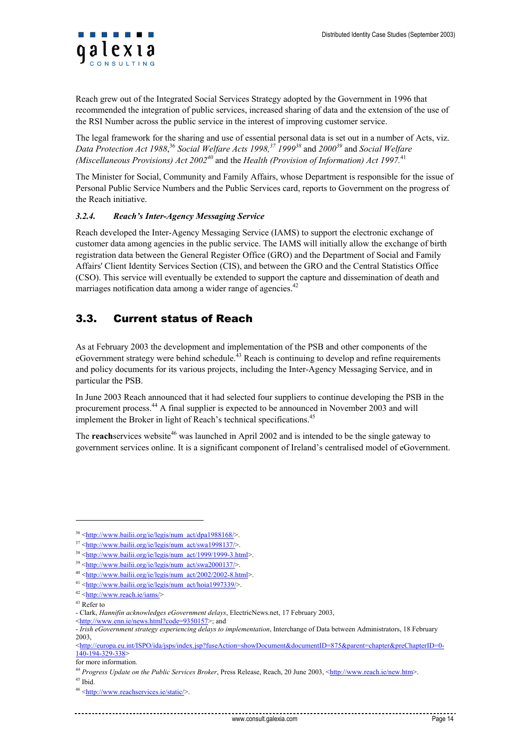<span id="page-13-0"></span>Reach grew out of the Integrated Social Services Strategy adopted by the Government in 1996 that recommended the integration of public services, increased sharing of data and the extension of the use of the RSI Number across the public service in the interest of improving customer service.

The legal framework for the sharing and use of essential personal data is set out in a number of Acts, viz. *Data Protection Act 1988*, <sup>36</sup> *Social Welfare Acts 1998, 37 199938* and *200039* and *Social Welfare (Miscellaneous Provisions) Act 2002<sup>40</sup> and the Health (Provision of Information) Act 1997.*<sup>41</sup>

The Minister for Social, Community and Family Affairs, whose Department is responsible for the issue of Personal Public Service Numbers and the Public Services card, reports to Government on the progress of the Reach initiative.

#### *3.2.4. Reach's Inter-Agency Messaging Service*

Reach developed the Inter-Agency Messaging Service (IAMS) to support the electronic exchange of customer data among agencies in the public service. The IAMS will initially allow the exchange of birth registration data between the General Register Office (GRO) and the Department of Social and Family Affairs' Client Identity Services Section (CIS), and between the GRO and the Central Statistics Office (CSO). This service will eventually be extended to support the capture and dissemination of death and marriages notification data among a wider range of agencies.<sup>42</sup>

## 3.3. Current status of Reach

As at February 2003 the development and implementation of the PSB and other components of the eGovernment strategy were behind schedule.<sup>43</sup> Reach is continuing to develop and refine requirements and policy documents for its various projects, including the Inter-Agency Messaging Service, and in particular the PSB.

In June 2003 Reach announced that it had selected four suppliers to continue developing the PSB in the procurement process.44 A final supplier is expected to be announced in November 2003 and will implement the Broker in light of Reach's technical specifications.<sup>45</sup>

The **reach**services website<sup>46</sup> was launched in April 2002 and is intended to be the single gateway to government services online. It is a significant component of Ireland's centralised model of eGovernment.

<sup>36 &</sup>lt;[http://www.bailii.org/ie/legis/num\\_act/dpa1988168/](http://www.bailii.org/ie/legis/num_act/dpa1988168/)>.

<sup>37 &</sup>lt;[http://www.bailii.org/ie/legis/num\\_act/swa1998137/](http://www.bailii.org/ie/legis/num_act/swa1998137/)>.<br>
38 <[http://www.bailii.org/ie/legis/num\\_act/1999/1999-3.html](http://www.bailii.org/ie/legis/num_act/1999/1999-3.html)<br>
39 <http://www.bailii.org/ie/legis/num\_act/1999/1999-3.html<br>
39 <http://www.bailii.org/ie/legis/num\_ac

<sup>-</sup> Clark, *Hannifin acknowledges eGovernment delays*, ElectricNews.net, 17 February 2003,

<sup>&</sup>lt;[http://www.enn.ie/news.html?code=9350157>](http://www.enn.ie/news.html?code=9350157); and

<sup>-</sup> *Irish eGovernment strategy experiencing delays to implementation*, Interchange of Data between Administrators, 18 February 2003,

<sup>&</sup>lt;[http://europa.eu.int/ISPO/ida/jsps/index.jsp?fuseAction=showDocument&documentID=875&parent=chapter&preChapterID=0-](http://europa.eu.int/ISPO/ida/jsps/index.jsp?fuseAction=showDocument&documentID=875&parent=chapter&preChapterID=0-140-194-329-338) [140-194-329-338](http://europa.eu.int/ISPO/ida/jsps/index.jsp?fuseAction=showDocument&documentID=875&parent=chapter&preChapterID=0-140-194-329-338)>

for more information.<br><sup>44</sup> *Progress Update on the Public Services Broker*, Press Release, Reach, 20 June 2003, <[http://www.reach.ie/new.htm>](http://www.reach.ie/new.htm).

<sup>45</sup> Ibid.<br><sup>46</sup> <<http://www.reachservices.ie/static/>>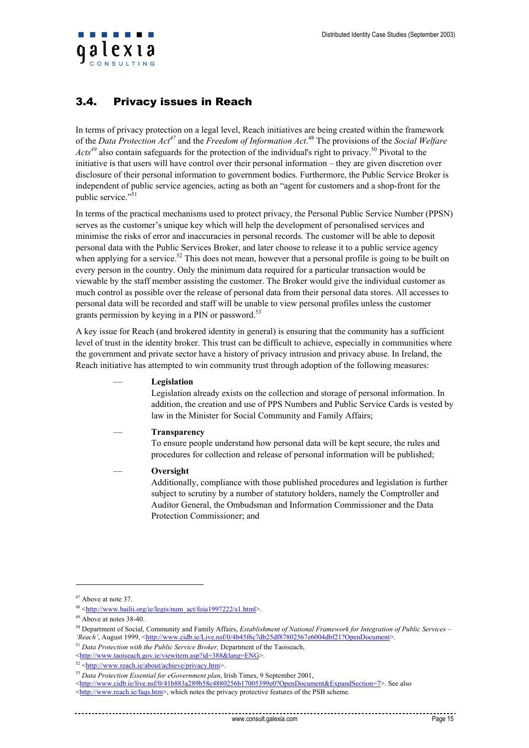<span id="page-14-0"></span>

## 3.4. Privacy issues in Reach

In terms of privacy protection on a legal level, Reach initiatives are being created within the framework of the *Data Protection Act47* and the *Freedom of Information Act*. 48 The provisions of the *Social Welfare Acts<sup>49</sup>* also contain safeguards for the protection of the individual's right to privacy. 50 Pivotal to the initiative is that users will have control over their personal information – they are given discretion over disclosure of their personal information to government bodies. Furthermore, the Public Service Broker is independent of public service agencies, acting as both an "agent for customers and a shop-front for the public service."<sup>51</sup>

In terms of the practical mechanisms used to protect privacy, the Personal Public Service Number (PPSN) serves as the customer's unique key which will help the development of personalised services and minimise the risks of error and inaccuracies in personal records. The customer will be able to deposit personal data with the Public Services Broker, and later choose to release it to a public service agency when applying for a service.<sup>52</sup> This does not mean, however that a personal profile is going to be built on every person in the country. Only the minimum data required for a particular transaction would be viewable by the staff member assisting the customer. The Broker would give the individual customer as much control as possible over the release of personal data from their personal data stores. All accesses to personal data will be recorded and staff will be unable to view personal profiles unless the customer grants permission by keying in a PIN or password. 53

A key issue for Reach (and brokered identity in general) is ensuring that the community has a sufficient level of trust in the identity broker. This trust can be difficult to achieve, especially in communities where the government and private sector have a history of privacy intrusion and privacy abuse. In Ireland, the Reach initiative has attempted to win community trust through adoption of the following measures:

#### — **Legislation**

Legislation already exists on the collection and storage of personal information. In addition, the creation and use of PPS Numbers and Public Service Cards is vested by law in the Minister for Social Community and Family Affairs;

#### — **Transparency**

To ensure people understand how personal data will be kept secure, the rules and procedures for collection and release of personal information will be published;

#### — **Oversight**

Additionally, compliance with those published procedures and legislation is further subject to scrutiny by a number of statutory holders, namely the Comptroller and Auditor General, the Ombudsman and Information Commissioner and the Data Protection Commissioner; and

 $47$  Above at note 37.

<sup>&</sup>lt;sup>48</sup> <[http://www.bailii.org/ie/legis/num\\_act/foia1997222/s1.html>](http://www.bailii.org/ie/legis/num_act/foia1997222/s1.html).<br><sup>49</sup> Above at notes 38-40.<br><sup>50</sup> Department of Social, Community and Family Affairs, *Establishment of National Framework for Integration of Public Services 'Reach'*, August 1999, [<http://www.cidb.ie/Live.nsf/0/4b45f6c7db25df87802567e6004dbf21?OpenDocument](http://www.cidb.ie/Live.nsf/0/4b45f6c7db25df87802567e6004dbf21?OpenDocument)><sup>51</sup> *Data Protection with the Public Service Broker*, Department of the Taoiseach,<br><http://www.taoiseach.gov.ie/viewitem

<sup>&</sup>lt;sup>52</sup> <[http://www.reach.ie/about/achieve/privacy.htm>](http://www.reach.ie/about/achieve/privacy.htm).<br><sup>53</sup> *Data Protection Essential for eGovernment plan*, Irish Times, 9 September 2001,

<sup>&</sup>lt;<http://www.cidb.ie/live.nsf/0/41b883a289b58c4880256b17005399e0?OpenDocument&ExpandSection=7>>. See also

<sup>&</sup>lt;<http://www.reach.ie/faqs.htm>>, which notes the privacy protective features of the PSB scheme.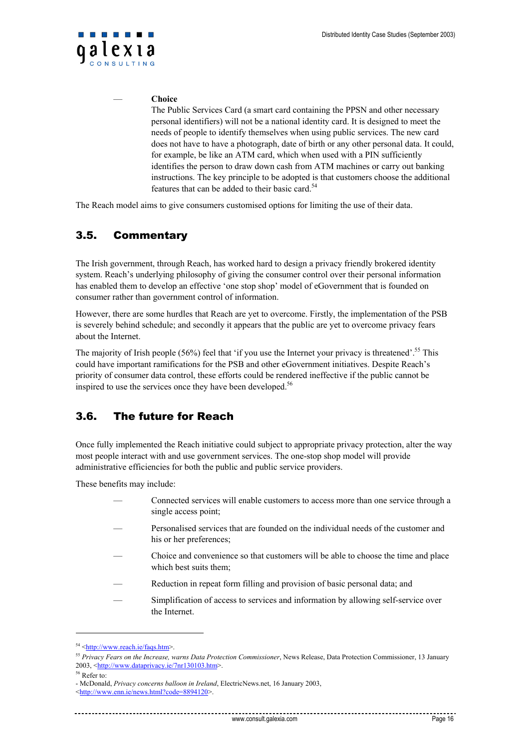<span id="page-15-0"></span>

#### — **Choice**

The Public Services Card (a smart card containing the PPSN and other necessary personal identifiers) will not be a national identity card. It is designed to meet the needs of people to identify themselves when using public services. The new card does not have to have a photograph, date of birth or any other personal data. It could, for example, be like an ATM card, which when used with a PIN sufficiently identifies the person to draw down cash from ATM machines or carry out banking instructions. The key principle to be adopted is that customers choose the additional features that can be added to their basic card. 54

The Reach model aims to give consumers customised options for limiting the use of their data.

## 3.5. Commentary

The Irish government, through Reach, has worked hard to design a privacy friendly brokered identity system. Reach's underlying philosophy of giving the consumer control over their personal information has enabled them to develop an effective 'one stop shop' model of eGovernment that is founded on consumer rather than government control of information.

However, there are some hurdles that Reach are yet to overcome. Firstly, the implementation of the PSB is severely behind schedule; and secondly it appears that the public are yet to overcome privacy fears about the Internet.

The majority of Irish people (56%) feel that 'if you use the Internet your privacy is threatened'.<sup>55</sup> This could have important ramifications for the PSB and other eGovernment initiatives. Despite Reach's priority of consumer data control, these efforts could be rendered ineffective if the public cannot be inspired to use the services once they have been developed.<sup>56</sup>

## 3.6. The future for Reach

Once fully implemented the Reach initiative could subject to appropriate privacy protection, alter the way most people interact with and use government services. The one-stop shop model will provide administrative efficiencies for both the public and public service providers.

These benefits may include:

- Connected services will enable customers to access more than one service through a single access point;
- Personalised services that are founded on the individual needs of the customer and his or her preferences;
- Choice and convenience so that customers will be able to choose the time and place which best suits them;
- Reduction in repeat form filling and provision of basic personal data; and
- Simplification of access to services and information by allowing self-service over the Internet.

<sup>54 &</sup>lt;<http://www.reach.ie/faqs.htm>>.

<sup>55</sup> *Privacy Fears on the Increase, warns Data Protection Commissioner*, News Release, Data Protection Commissioner, 13 January 2003, <[http://www.dataprivacy.ie/7nr130103.htm>](http://www.dataprivacy.ie/7nr130103.htm).<br>
<sup>56</sup> Refer to:

<sup>-</sup> McDonald, *Privacy concerns balloon in Ireland*, ElectricNews.net, 16 January 2003,

<sup>&</sup>lt;[http://www.enn.ie/news.html?code=8894120>](http://www.enn.ie/news.html?code=8894120).